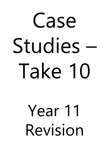# Case Studies – Take 10

## Year 11 Revision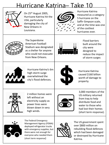#### Hurricane Katrina– Take 10



On 25th August 2005, Hurricane Katrina hit the USA, particularly damaging the city of New Orleans in Louisiana.



Hurricane Katrina measured as a category 5 hurricane on the Saffir-Simpson scale, and at the time was one of the costliest hurricanes ever.



The Superdome American Football Stadium was designated as a shelter for anyone who could not evacuate from New Orleans.



Flood barriers built around the city were designed to reduce the impact of storm surges



Hurricane Katrina's 6m high storm surge overwhelmed the city's flood defences.



Hurricane Katrina caused \$160 billion worth of damage to property.



2 million homes were left without an electricity supply as power lines were blown down in very high winds.



3,000 members of the US military returned from Iraq to help distribute food and water to those who had lost their homes (short term response).



The Federal Emergency Management Agency (FEMA) deployed refrigerator trucks with emergency supplies, but there were not enough for everyone who needed them (short term response)



The US government spent over \$800 million on rebuilding flood defences which had been damaged or destroyed by Hurricane Katrina.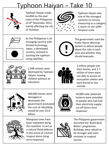#### Typhoon Haiyan – Take 10



Typhoon Haiyan made landfall on the east coast of the Philippines on 8th November 2013, mainly affecting the city of Tacloban.



Typhoon Haiyan was one of the strongest cyclones on record, measuring as a category 5 storm on the Saffir-Simpson scale.



As the Philippines is an emerging country with limited technology, Japan, a developed country, assisted in tracking the typhoon using satellites.



The government used the Public Storm Warning System to advise people about the risks in each area and whether they should evacuate.



1,948 schools were destroyed by Typhoon Haiyan, leaving children without an education.



3 million people lost their homes, and 2.7 million of them were not able to access an evacuation shelter and were forced to live outside.



500,000 homes were damaged or destroyed; the government estimated the cost of rebuilding would be over \$5.8 billion.



Mangrove trees have been replanted along the coastline to act as a natural flood defence in the event of a future tropical storm (long term response).



50,000 solar powered lanterns were provided to people who had had their electricity supply cut off (short term response)



The Philippine government launched the 'Build Back Better' programme. Buildings were rebuilt to be stronger and more resistant to tropical storms.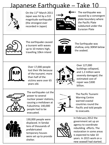#### Japanese Earthquake – Take 10



On the 11<sup>th</sup> March 2011 Japan was hit by a 9.0 magnitude earthquake (the strongest ever recorded in Japan)



The earthquake was caused by a convergent plate boundary where the Pacific Plate subducted under the Eurasian Plate



The earthquake caused a tsunami with waves up to 10 meters high, travelling 10km inland



The Earthquake was shallow, only 30KM below the seabed.



Over 17,000 people lost their life because of the tsunami; more than half of the victims were over 65 years old.



Over 127,000 buildings collapsed, and 1.2 million were severely damaged; the estimated cost of repair was \$300 billion.



The earthquake cut the power to several nuclear power stations, causing a meltdown at Fukushima; 140,000 people had to be evacuated.



The Pacific Tsunami Warning Centre warned coastal countries round the Pacific and told people to evacuate.



130,000 people were displaced. In Sendai tens of thousands of prefabricated temporary houses were set up to provide shelter.



In February 2012 the government set up an agency to coordinate rebuilding efforts. The restoration in some areas is expected to take 10 years. In 2015 work on a new seawall had started.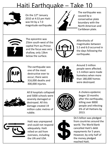#### Haiti Earthquake – Take 10



On the  $12<sup>th</sup>$  January 2010 at 4:53 pm Haiti was hit by a 7.0 magnitude earthquake.



The earthquake was caused by a conservative plate boundary with the North American and Caribbean plate.



The epicentre was 25km south-west of the capital Port-au-Prince and the focus was very shallow, only 13km below the surface.



Aftershocks of magnitudes between 5.5 and 6.0 occurred in the days following the earthquake.



The earthquake was one of the most destructive ever to occur; there were 316,000 deaths and 300,000 injuries.



Around 3 million people were affected. 1.5 million were made homeless when more than 180,000 homes were destroyed.



All 8 hospitals collapsed and 5000 schools were severely damaged or destroyed. All this damage created 19 million cubic metres of rubble.



A cholera epidemic began 10 months after the earthquake, killing over 8000 people and infecting 6% of all Haitians by 2013.



Haiti was unprepared and could not respond adequately. Haiti relied on aid from oversees, including the UN and USA.



\$4.5 billion was pledged from countries around the world. The World Bank cancelled Haiti's debt repayments for 5 years. However, by only half of the money pledged reached Haiti.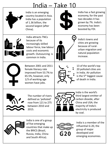#### India – Take 10



India is an emerging country located in Asia. India has a population of 1.36 billion, the second largest (after China).

India attracts TNCs

increasingly skilled

costs and economic

common in India.

because of its



India has a fast growing economy, for the past two decades it has grown by 7%. India's economy has been boosted by FDI.



India's towns and cities are growing because of ruralurban migration and natural population increase.



Between 2001 and 2011 female literacy rate improved from 53.7% to 65.5%, however, only 1/3 of working age women have jobs.



13 of the world's top 20 polluted cities are in India. Air pollution is the  $5<sup>th</sup>$  biggest cause of death in India.



The number of rivers defined as 'polluted' rose from 121 to 275 between 2010 and 2015.



India is the world's third largest emitter of carbon dioxide, after China and USA; the majority of India's electricity is produced by coal.



India is one of a group of five emerging countries that make up the BRICS (Brazil, Russia, India, China and South Africa).



India is a member of the influential G-20, the group of major developed and emerging economies.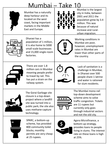#### Mumbai – Take 10



Mumbai has a naturally deep harbour and its located on the west coast, facing important markets in the Middle East and Europe.



Mumbai is the largest city in India, between 2001 and 2011 the population grew by 3.4 million. This was because of natural increase and ruralurban migration.



Dharavi has a population of 1 million, it is also home to 5000 small-scale businesses and 15,000 single-room factories.



Working conditions in Mumbai are poor, however, unemployment rates in Mumbai are lower than other parts of the country.



There are over 1.8 million cars in Mumbai meaning people prefer to travel by rail. This has put a strain on the railway system.



Lack of sanitation is a challenge in Mumbai, in Dharavi over 500 people share 1 latrine and water is rationed for slum residents.



The Gorai Garbage site closure is a top-down project where a landfill site was turned into a public park; the site also uses methane-capture technology.



The Mumbai mono-rail top-down development scheme aims to solve traffic congestion. Tickets are 11 rupees but currently only goes through industrial sectors and not the old city.



SPARC, a bottom-up scheme, has provided 800 community toilet blocks; monthly permits are very cheap at 25 rupees.



Agora Microfinance, a bottom-up strategy, provides loans to people living in slums. The interest rate on these loans is high at 25%.